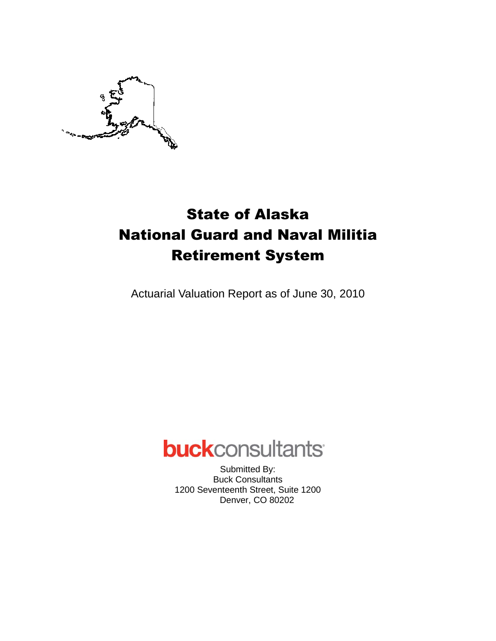

# State of Alaska National Guard and Naval Militia Retirement System

Actuarial Valuation Report as of June 30, 2010

# **buck**consultants

Submitted By: Buck Consultants 1200 Seventeenth Street, Suite 1200 Denver, CO 80202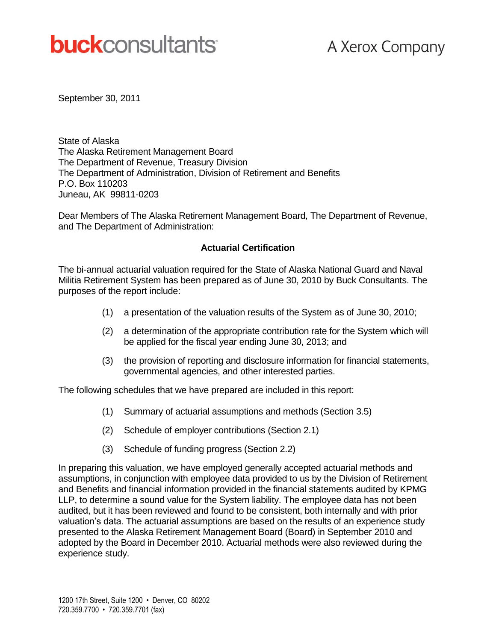# **buck**consultants

September 30, 2011

State of Alaska The Alaska Retirement Management Board The Department of Revenue, Treasury Division The Department of Administration, Division of Retirement and Benefits P.O. Box 110203 Juneau, AK 99811-0203

Dear Members of The Alaska Retirement Management Board, The Department of Revenue, and The Department of Administration:

#### **Actuarial Certification**

The bi-annual actuarial valuation required for the State of Alaska National Guard and Naval Militia Retirement System has been prepared as of June 30, 2010 by Buck Consultants. The purposes of the report include:

- (1) a presentation of the valuation results of the System as of June 30, 2010;
- (2) a determination of the appropriate contribution rate for the System which will be applied for the fiscal year ending June 30, 2013; and
- (3) the provision of reporting and disclosure information for financial statements, governmental agencies, and other interested parties.

The following schedules that we have prepared are included in this report:

- (1) Summary of actuarial assumptions and methods (Section 3.5)
- (2) Schedule of employer contributions (Section 2.1)
- (3) Schedule of funding progress (Section 2.2)

In preparing this valuation, we have employed generally accepted actuarial methods and assumptions, in conjunction with employee data provided to us by the Division of Retirement and Benefits and financial information provided in the financial statements audited by KPMG LLP, to determine a sound value for the System liability. The employee data has not been audited, but it has been reviewed and found to be consistent, both internally and with prior valuation's data. The actuarial assumptions are based on the results of an experience study presented to the Alaska Retirement Management Board (Board) in September 2010 and adopted by the Board in December 2010. Actuarial methods were also reviewed during the experience study.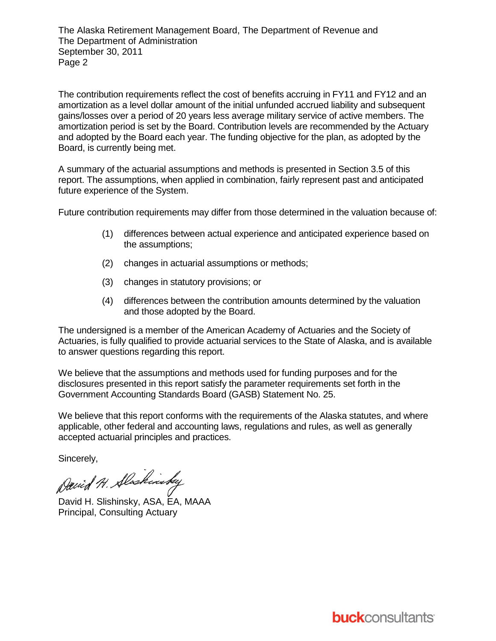The Alaska Retirement Management Board, The Department of Revenue and The Department of Administration September 30, 2011 Page 2

The contribution requirements reflect the cost of benefits accruing in FY11 and FY12 and an amortization as a level dollar amount of the initial unfunded accrued liability and subsequent gains/losses over a period of 20 years less average military service of active members. The amortization period is set by the Board. Contribution levels are recommended by the Actuary and adopted by the Board each year. The funding objective for the plan, as adopted by the Board, is currently being met.

A summary of the actuarial assumptions and methods is presented in Section 3.5 of this report. The assumptions, when applied in combination, fairly represent past and anticipated future experience of the System.

Future contribution requirements may differ from those determined in the valuation because of:

- (1) differences between actual experience and anticipated experience based on the assumptions;
- (2) changes in actuarial assumptions or methods;
- (3) changes in statutory provisions; or
- (4) differences between the contribution amounts determined by the valuation and those adopted by the Board.

The undersigned is a member of the American Academy of Actuaries and the Society of Actuaries, is fully qualified to provide actuarial services to the State of Alaska, and is available to answer questions regarding this report.

We believe that the assumptions and methods used for funding purposes and for the disclosures presented in this report satisfy the parameter requirements set forth in the Government Accounting Standards Board (GASB) Statement No. 25.

We believe that this report conforms with the requirements of the Alaska statutes, and where applicable, other federal and accounting laws, regulations and rules, as well as generally accepted actuarial principles and practices.

Sincerely,

David H. Slaskinsky

David H. Slishinsky, ASA, EA, MAAA Principal, Consulting Actuary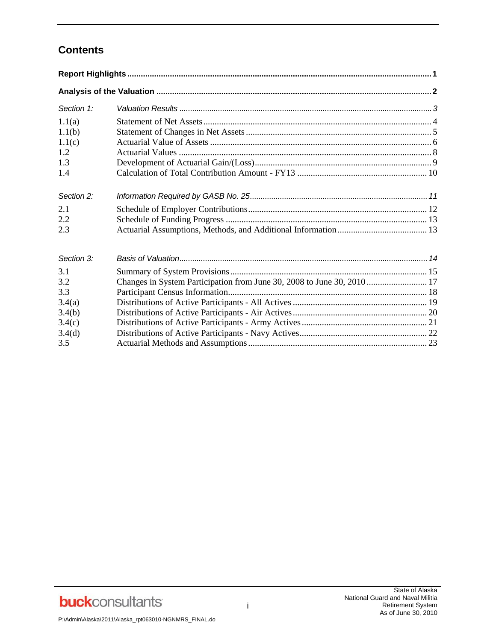# **Contents**

| Section 1:                                                       |                                                                         |
|------------------------------------------------------------------|-------------------------------------------------------------------------|
| 1.1(a)<br>1.1(b)<br>1.1(c)<br>1.2<br>1.3<br>1.4                  |                                                                         |
| Section 2:<br>2.1<br>2.2<br>2.3                                  |                                                                         |
| Section 3:                                                       |                                                                         |
| 3.1<br>3.2<br>3.3<br>3.4(a)<br>3.4(b)<br>3.4(c)<br>3.4(d)<br>3.5 | Changes in System Participation from June 30, 2008 to June 30, 2010  17 |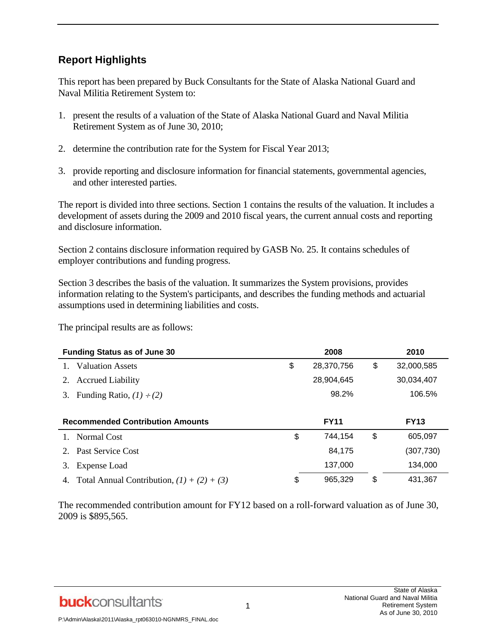# **Report Highlights**

This report has been prepared by Buck Consultants for the State of Alaska National Guard and Naval Militia Retirement System to:

- 1. present the results of a valuation of the State of Alaska National Guard and Naval Militia Retirement System as of June 30, 2010;
- 2. determine the contribution rate for the System for Fiscal Year 2013;
- 3. provide reporting and disclosure information for financial statements, governmental agencies, and other interested parties.

The report is divided into three sections. Section 1 contains the results of the valuation. It includes a development of assets during the 2009 and 2010 fiscal years, the current annual costs and reporting and disclosure information.

Section 2 contains disclosure information required by GASB No. 25. It contains schedules of employer contributions and funding progress.

Section 3 describes the basis of the valuation. It summarizes the System provisions, provides information relating to the System's participants, and describes the funding methods and actuarial assumptions used in determining liabilities and costs.

The principal results are as follows:

|                                         | <b>Funding Status as of June 30</b> | 2008             | 2010             |
|-----------------------------------------|-------------------------------------|------------------|------------------|
|                                         | <b>Valuation Assets</b>             | \$<br>28,370,756 | \$<br>32,000,585 |
| 2.                                      | <b>Accrued Liability</b>            | 28,904,645       | 30,034,407       |
| 3.                                      | Funding Ratio, $(1) \div (2)$       | 98.2%            | 106.5%           |
|                                         |                                     |                  |                  |
| <b>Recommended Contribution Amounts</b> |                                     |                  |                  |
|                                         |                                     | <b>FY11</b>      | <b>FY13</b>      |
|                                         | 1. Normal Cost                      | \$<br>744,154    | \$<br>605,097    |
| 2.                                      | <b>Past Service Cost</b>            | 84,175           | (307, 730)       |
| 3.                                      | <b>Expense Load</b>                 | 137,000          | 134,000          |

The recommended contribution amount for FY12 based on a roll-forward valuation as of June 30, 2009 is \$895,565.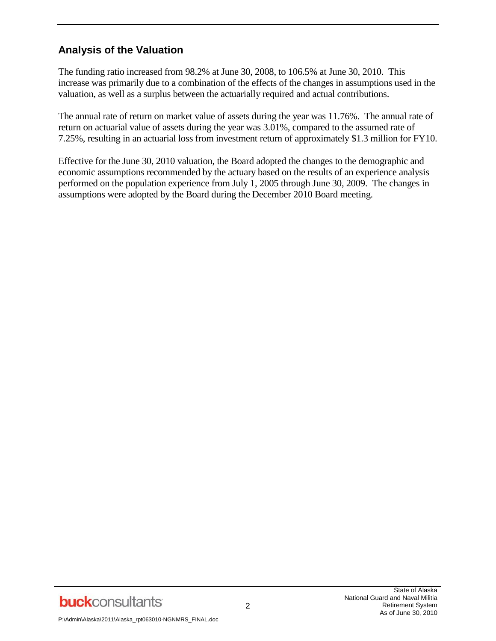# **Analysis of the Valuation**

The funding ratio increased from 98.2% at June 30, 2008, to 106.5% at June 30, 2010. This increase was primarily due to a combination of the effects of the changes in assumptions used in the valuation, as well as a surplus between the actuarially required and actual contributions.

The annual rate of return on market value of assets during the year was 11.76%. The annual rate of return on actuarial value of assets during the year was 3.01%, compared to the assumed rate of 7.25%, resulting in an actuarial loss from investment return of approximately \$1.3 million for FY10.

Effective for the June 30, 2010 valuation, the Board adopted the changes to the demographic and economic assumptions recommended by the actuary based on the results of an experience analysis performed on the population experience from July 1, 2005 through June 30, 2009. The changes in assumptions were adopted by the Board during the December 2010 Board meeting.

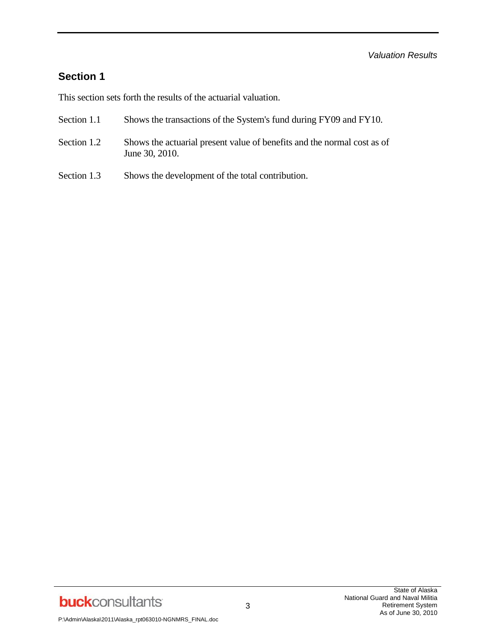### **Section 1**

This section sets forth the results of the actuarial valuation.

- Section 1.1 Shows the transactions of the System's fund during FY09 and FY10.
- Section 1.2 Shows the actuarial present value of benefits and the normal cost as of June 30, 2010.
- Section 1.3 Shows the development of the total contribution.

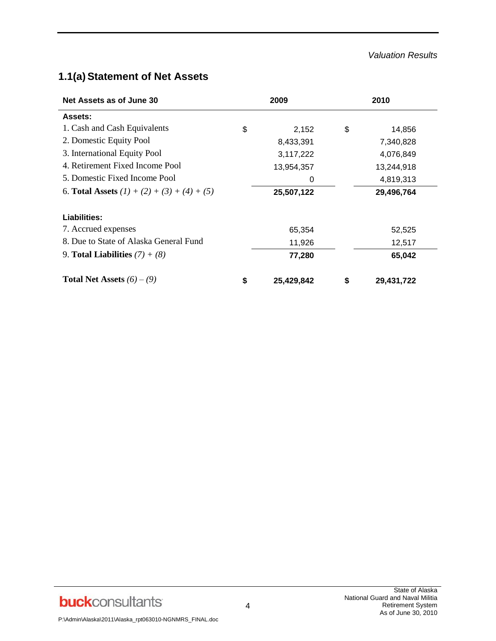#### *Valuation Results*

# **1.1(a) Statement of Net Assets**

| Net Assets as of June 30                      | 2009 |            | 2010 |            |  |
|-----------------------------------------------|------|------------|------|------------|--|
| <b>Assets:</b>                                |      |            |      |            |  |
| 1. Cash and Cash Equivalents                  | \$   | 2,152      | \$   | 14,856     |  |
| 2. Domestic Equity Pool                       |      | 8,433,391  |      | 7,340,828  |  |
| 3. International Equity Pool                  |      | 3,117,222  |      | 4,076,849  |  |
| 4. Retirement Fixed Income Pool               |      | 13,954,357 |      | 13,244,918 |  |
| 5. Domestic Fixed Income Pool                 |      | 0          |      | 4,819,313  |  |
| 6. Total Assets $(1) + (2) + (3) + (4) + (5)$ |      | 25,507,122 |      | 29,496,764 |  |
| Liabilities:                                  |      |            |      |            |  |
| 7. Accrued expenses                           |      | 65,354     |      | 52,525     |  |
| 8. Due to State of Alaska General Fund        |      | 11,926     |      | 12,517     |  |
| 9. Total Liabilities $(7) + (8)$              |      | 77,280     |      | 65,042     |  |
| <b>Total Net Assets</b> $(6) - (9)$           | \$   | 25,429,842 | \$   | 29,431,722 |  |

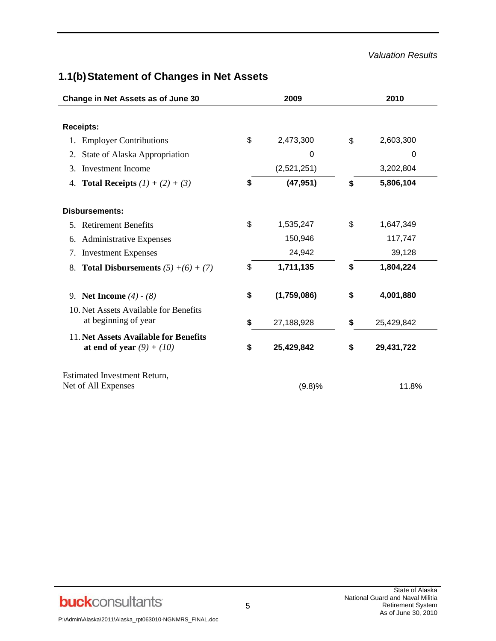#### *Valuation Results*

# **1.1(b)Statement of Changes in Net Assets**

| Change in Net Assets as of June 30                                   | 2009              | 2010             |
|----------------------------------------------------------------------|-------------------|------------------|
| <b>Receipts:</b>                                                     |                   |                  |
| <b>Employer Contributions</b><br>1.                                  | \$<br>2,473,300   | \$<br>2,603,300  |
| State of Alaska Appropriation<br>2.                                  | 0                 | 0                |
| Investment Income<br>3.                                              | (2,521,251)       | 3,202,804        |
| 4. <b>Total Receipts</b> $(1) + (2) + (3)$                           | \$<br>(47, 951)   | \$<br>5,806,104  |
| <b>Disbursements:</b>                                                |                   |                  |
| 5. Retirement Benefits                                               | \$<br>1,535,247   | \$<br>1,647,349  |
| 6. Administrative Expenses                                           | 150,946           | 117,747          |
| 7. Investment Expenses                                               | 24,942            | 39,128           |
| <b>Total Disbursements</b> $(5) + (6) + (7)$<br>8.                   | \$<br>1,711,135   | \$<br>1,804,224  |
| 9. Net Income $(4) - (8)$                                            | \$<br>(1,759,086) | \$<br>4,001,880  |
| 10. Net Assets Available for Benefits<br>at beginning of year        | \$<br>27,188,928  | \$<br>25,429,842 |
| 11. Net Assets Available for Benefits<br>at end of year $(9) + (10)$ | \$<br>25,429,842  | \$<br>29,431,722 |
| Estimated Investment Return,<br>Net of All Expenses                  | (9.8)%            | 11.8%            |

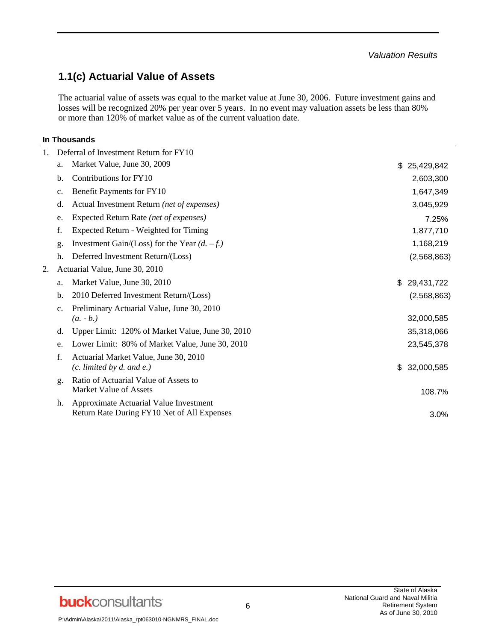# **1.1(c) Actuarial Value of Assets**

The actuarial value of assets was equal to the market value at June 30, 2006. Future investment gains and losses will be recognized 20% per year over 5 years. In no event may valuation assets be less than 80% or more than 120% of market value as of the current valuation date.

#### **In Thousands**

| 1. |                | Deferral of Investment Return for FY10                                 |                  |
|----|----------------|------------------------------------------------------------------------|------------------|
|    | a.             | Market Value, June 30, 2009                                            | \$<br>25,429,842 |
|    | b.             | Contributions for FY10                                                 | 2,603,300        |
|    | $\mathbf{c}$ . | Benefit Payments for FY10                                              | 1,647,349        |
|    | d.             | Actual Investment Return (net of expenses)                             | 3,045,929        |
|    | e.             | Expected Return Rate (net of expenses)                                 | 7.25%            |
|    | f.             | Expected Return - Weighted for Timing                                  | 1,877,710        |
|    | g.             | Investment Gain/(Loss) for the Year $(d. -f.)$                         | 1,168,219        |
|    | h.             | Deferred Investment Return/(Loss)                                      | (2,568,863)      |
| 2. |                | Actuarial Value, June 30, 2010                                         |                  |
|    | a.             | Market Value, June 30, 2010                                            | \$<br>29,431,722 |
|    | b.             | 2010 Deferred Investment Return/(Loss)                                 | (2,568,863)      |
|    | $\mathbf{c}$ . | Preliminary Actuarial Value, June 30, 2010                             |                  |
|    |                | $(a. - b.)$                                                            | 32,000,585       |
|    | d.             | Upper Limit: 120% of Market Value, June 30, 2010                       | 35,318,066       |
|    | e.             | Lower Limit: 80% of Market Value, June 30, 2010                        | 23,545,378       |
|    | f.             | Actuarial Market Value, June 30, 2010                                  |                  |
|    |                | $(c.$ limited by $d.$ and $e.$ )                                       | \$<br>32,000,585 |
|    | g.             | Ratio of Actuarial Value of Assets to<br><b>Market Value of Assets</b> |                  |
|    | h.             | Approximate Actuarial Value Investment                                 | 108.7%           |
|    |                | Return Rate During FY10 Net of All Expenses                            | 3.0%             |
|    |                |                                                                        |                  |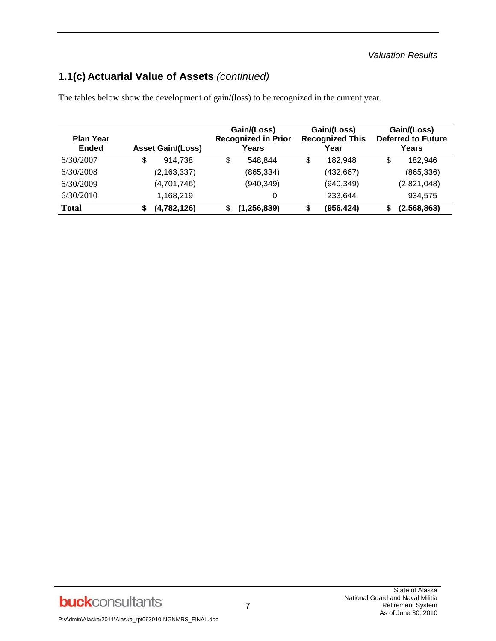# **1.1(c) Actuarial Value of Assets** *(continued)*

| <b>Plan Year</b><br><b>Ended</b> | <b>Asset Gain/(Loss)</b> | Gain/(Loss)<br><b>Recognized in Prior</b><br>Years | Gain/(Loss)<br><b>Recognized This</b><br>Year | Gain/(Loss)<br><b>Deferred to Future</b><br>Years |
|----------------------------------|--------------------------|----------------------------------------------------|-----------------------------------------------|---------------------------------------------------|
| 6/30/2007                        | \$<br>914.738            | \$<br>548.844                                      | \$<br>182.948                                 | \$<br>182.946                                     |
| 6/30/2008                        | (2, 163, 337)            | (865, 334)                                         | (432, 667)                                    | (865, 336)                                        |
| 6/30/2009                        | (4,701,746)              | (940, 349)                                         | (940, 349)                                    | (2,821,048)                                       |
| 6/30/2010                        | 1,168,219                | 0                                                  | 233.644                                       | 934,575                                           |
| <b>Total</b>                     | (4,782,126)              | (1, 256, 839)                                      | (956, 424)                                    | (2,568,863)                                       |

The tables below show the development of gain/(loss) to be recognized in the current year.

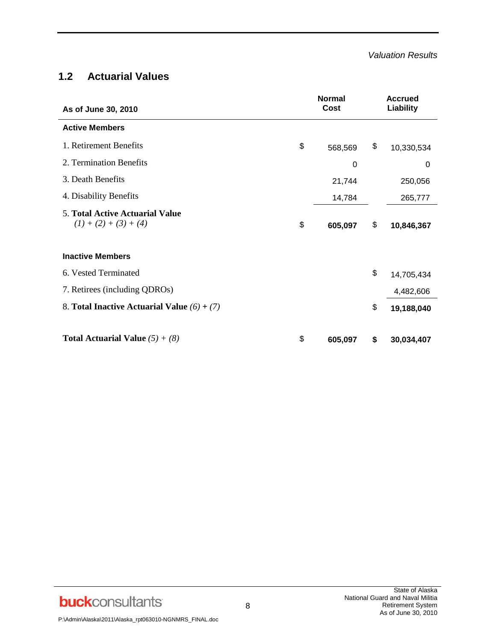### **1.2 Actuarial Values**

| As of June 30, 2010                                               | <b>Normal</b><br>Cost | <b>Accrued</b><br>Liability |
|-------------------------------------------------------------------|-----------------------|-----------------------------|
| <b>Active Members</b>                                             |                       |                             |
| 1. Retirement Benefits                                            | \$<br>568,569         | \$<br>10,330,534            |
| 2. Termination Benefits                                           | 0                     | 0                           |
| 3. Death Benefits                                                 | 21,744                | 250,056                     |
| 4. Disability Benefits                                            | 14,784                | 265,777                     |
| <b>5. Total Active Actuarial Value</b><br>$(1) + (2) + (3) + (4)$ | \$<br>605,097         | \$<br>10,846,367            |
| <b>Inactive Members</b>                                           |                       |                             |
| 6. Vested Terminated                                              |                       | \$<br>14,705,434            |
| 7. Retirees (including QDROs)                                     |                       | 4,482,606                   |
| 8. Total Inactive Actuarial Value $(6) + (7)$                     |                       | \$<br>19,188,040            |
| <b>Total Actuarial Value</b> $(5) + (8)$                          | \$<br>605,097         | \$<br>30,034,407            |

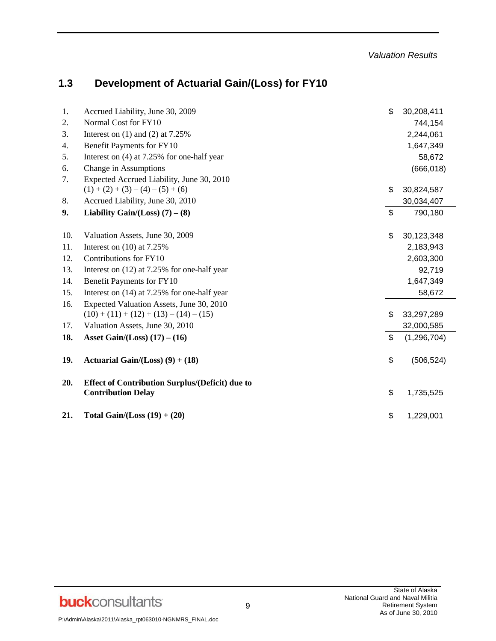# **1.3 Development of Actuarial Gain/(Loss) for FY10**

| 1.  | Accrued Liability, June 30, 2009                                                    | \$<br>30,208,411    |
|-----|-------------------------------------------------------------------------------------|---------------------|
| 2.  | Normal Cost for FY10                                                                | 744,154             |
| 3.  | Interest on $(1)$ and $(2)$ at 7.25%                                                | 2,244,061           |
| 4.  | Benefit Payments for FY10                                                           | 1,647,349           |
| 5.  | Interest on $(4)$ at 7.25% for one-half year                                        | 58,672              |
| 6.  | Change in Assumptions                                                               | (666, 018)          |
| 7.  | Expected Accrued Liability, June 30, 2010                                           |                     |
|     | $(1) + (2) + (3) - (4) - (5) + (6)$                                                 | \$<br>30,824,587    |
| 8.  | Accrued Liability, June 30, 2010                                                    | 30,034,407          |
| 9.  | Liability Gain/(Loss) $(7) - (8)$                                                   | \$<br>790,180       |
| 10. | Valuation Assets, June 30, 2009                                                     | \$<br>30,123,348    |
| 11. | Interest on $(10)$ at 7.25%                                                         | 2,183,943           |
| 12. | Contributions for FY10                                                              | 2,603,300           |
| 13. | Interest on (12) at 7.25% for one-half year                                         | 92,719              |
| 14. | Benefit Payments for FY10                                                           | 1,647,349           |
| 15. | Interest on (14) at 7.25% for one-half year                                         | 58,672              |
| 16. | Expected Valuation Assets, June 30, 2010                                            |                     |
|     | $(10) + (11) + (12) + (13) - (14) - (15)$                                           | \$<br>33,297,289    |
| 17. | Valuation Assets, June 30, 2010                                                     | 32,000,585          |
| 18. | Asset Gain/(Loss) $(17) - (16)$                                                     | \$<br>(1, 296, 704) |
| 19. | Actuarial Gain/(Loss) $(9) + (18)$                                                  | \$<br>(506, 524)    |
| 20. | <b>Effect of Contribution Surplus/(Deficit) due to</b><br><b>Contribution Delay</b> | \$<br>1,735,525     |
| 21. | Total Gain/(Loss $(19) + (20)$                                                      | \$<br>1,229,001     |

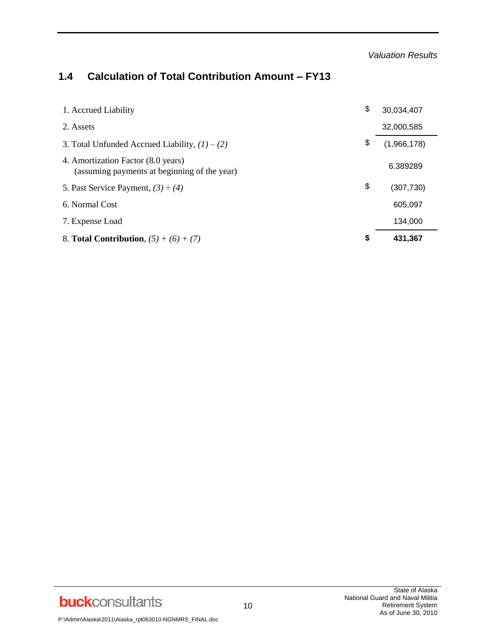*Valuation Results*

# **1.4 Calculation of Total Contribution Amount – FY13**

| 1. Accrued Liability                                                               | \$<br>30,034,407  |
|------------------------------------------------------------------------------------|-------------------|
| 2. Assets                                                                          | 32,000,585        |
| 3. Total Unfunded Accrued Liability, $(1) - (2)$                                   | \$<br>(1,966,178) |
| 4. Amortization Factor (8.0 years)<br>(assuming payments at beginning of the year) | 6.389289          |
| 5. Past Service Payment, $(3) - (4)$                                               | \$<br>(307,730)   |
| 6. Normal Cost                                                                     | 605,097           |
| 7. Expense Load                                                                    | 134.000           |
| 8. <b>Total Contribution</b> , $(5) + (6) + (7)$                                   | \$<br>431.367     |

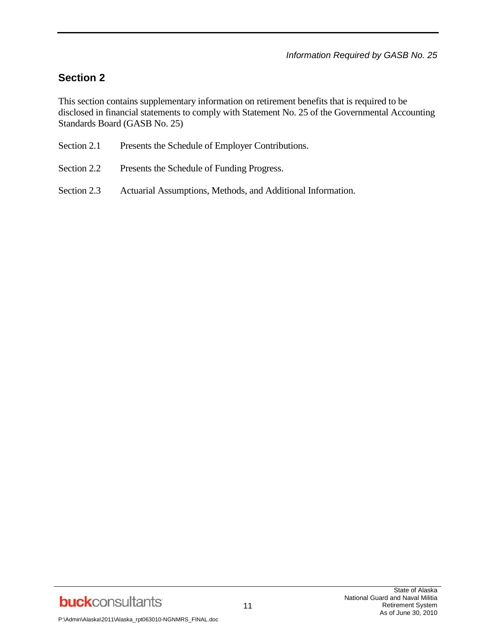# **Section 2**

This section contains supplementary information on retirement benefits that is required to be disclosed in financial statements to comply with Statement No. 25 of the Governmental Accounting Standards Board (GASB No. 25)

| Section 2.1 |  | Presents the Schedule of Employer Contributions. |
|-------------|--|--------------------------------------------------|
|             |  |                                                  |

- Section 2.2 Presents the Schedule of Funding Progress.
- Section 2.3 Actuarial Assumptions, Methods, and Additional Information.

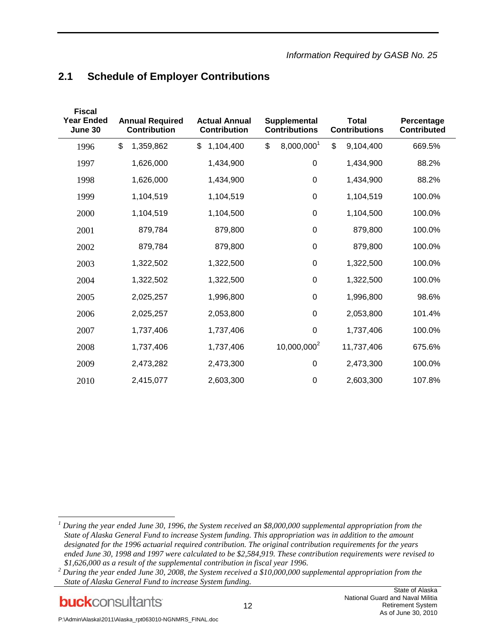# **2.1 Schedule of Employer Contributions**

| <b>Fiscal</b><br><b>Year Ended</b><br>June 30 | <b>Annual Required</b><br><b>Contribution</b> | <b>Actual Annual</b><br>Supplemental<br><b>Contribution</b><br><b>Contributions</b> |                         |                 |        | <b>Total</b> |  | <b>Contributions</b> | Percentage<br><b>Contributed</b> |  |
|-----------------------------------------------|-----------------------------------------------|-------------------------------------------------------------------------------------|-------------------------|-----------------|--------|--------------|--|----------------------|----------------------------------|--|
| 1996                                          | \$<br>1,359,862                               | \$<br>1,104,400                                                                     | 8,000,0001<br>\$        | \$<br>9,104,400 | 669.5% |              |  |                      |                                  |  |
| 1997                                          | 1,626,000                                     | 1,434,900                                                                           | $\boldsymbol{0}$        | 1,434,900       | 88.2%  |              |  |                      |                                  |  |
| 1998                                          | 1,626,000                                     | 1,434,900                                                                           | $\boldsymbol{0}$        | 1,434,900       | 88.2%  |              |  |                      |                                  |  |
| 1999                                          | 1,104,519                                     | 1,104,519                                                                           | $\boldsymbol{0}$        | 1,104,519       | 100.0% |              |  |                      |                                  |  |
| 2000                                          | 1,104,519                                     | 1,104,500                                                                           | $\boldsymbol{0}$        | 1,104,500       | 100.0% |              |  |                      |                                  |  |
| 2001                                          | 879,784                                       | 879,800                                                                             | $\boldsymbol{0}$        | 879,800         | 100.0% |              |  |                      |                                  |  |
| 2002                                          | 879,784                                       | 879,800                                                                             | $\boldsymbol{0}$        | 879,800         | 100.0% |              |  |                      |                                  |  |
| 2003                                          | 1,322,502                                     | 1,322,500                                                                           | $\boldsymbol{0}$        | 1,322,500       | 100.0% |              |  |                      |                                  |  |
| 2004                                          | 1,322,502                                     | 1,322,500                                                                           | $\boldsymbol{0}$        | 1,322,500       | 100.0% |              |  |                      |                                  |  |
| 2005                                          | 2,025,257                                     | 1,996,800                                                                           | $\mathbf 0$             | 1,996,800       | 98.6%  |              |  |                      |                                  |  |
| 2006                                          | 2,025,257                                     | 2,053,800                                                                           | $\boldsymbol{0}$        | 2,053,800       | 101.4% |              |  |                      |                                  |  |
| 2007                                          | 1,737,406                                     | 1,737,406                                                                           | $\mathbf 0$             | 1,737,406       | 100.0% |              |  |                      |                                  |  |
| 2008                                          | 1,737,406                                     | 1,737,406                                                                           | 10,000,000 <sup>2</sup> | 11,737,406      | 675.6% |              |  |                      |                                  |  |
| 2009                                          | 2,473,282                                     | 2,473,300                                                                           | $\mathbf 0$             | 2,473,300       | 100.0% |              |  |                      |                                  |  |
| 2010                                          | 2,415,077                                     | 2,603,300                                                                           | $\mathbf 0$             | 2,603,300       | 107.8% |              |  |                      |                                  |  |

**buck**consultants

l

*<sup>1</sup> During the year ended June 30, 1996, the System received an \$8,000,000 supplemental appropriation from the State of Alaska General Fund to increase System funding. This appropriation was in addition to the amount designated for the 1996 actuarial required contribution. The original contribution requirements for the years ended June 30, 1998 and 1997 were calculated to be \$2,584,919. These contribution requirements were revised to \$1,626,000 as a result of the supplemental contribution in fiscal year 1996.*

*<sup>2</sup> During the year ended June 30, 2008, the System received a \$10,000,000 supplemental appropriation from the State of Alaska General Fund to increase System funding.*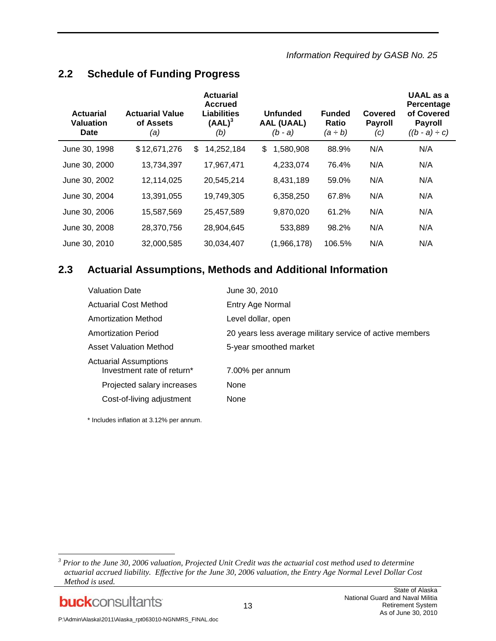*Information Required by GASB No. 25*

### **2.2 Schedule of Funding Progress**

| <b>Actuarial</b><br><b>Valuation</b><br><b>Date</b> | <b>Actuarial Value</b><br>of Assets<br>(a) | <b>Actuarial</b><br><b>Accrued</b><br><b>Liabilities</b><br>$(AAL)^3$<br>(b) | <b>Unfunded</b><br><b>AAL (UAAL)</b><br>$(b - a)$ | <b>Funded</b><br><b>Ratio</b><br>(a ÷ b) | Covered<br><b>Payroll</b><br>(c) | UAAL as a<br>Percentage<br>of Covered<br><b>Payroll</b><br>$((b - a) \div c)$ |
|-----------------------------------------------------|--------------------------------------------|------------------------------------------------------------------------------|---------------------------------------------------|------------------------------------------|----------------------------------|-------------------------------------------------------------------------------|
| June 30, 1998                                       | \$12,671,276                               | 14,252,184<br>\$                                                             | 1,580,908<br>\$                                   | 88.9%                                    | N/A                              | N/A                                                                           |
| June 30, 2000                                       | 13,734,397                                 | 17,967,471                                                                   | 4,233,074                                         | 76.4%                                    | N/A                              | N/A                                                                           |
| June 30, 2002                                       | 12,114,025                                 | 20,545,214                                                                   | 8,431,189                                         | 59.0%                                    | N/A                              | N/A                                                                           |
| June 30, 2004                                       | 13,391,055                                 | 19,749,305                                                                   | 6,358,250                                         | 67.8%                                    | N/A                              | N/A                                                                           |
| June 30, 2006                                       | 15,587,569                                 | 25,457,589                                                                   | 9,870,020                                         | 61.2%                                    | N/A                              | N/A                                                                           |
| June 30, 2008                                       | 28,370,756                                 | 28,904,645                                                                   | 533,889                                           | 98.2%                                    | N/A                              | N/A                                                                           |
| June 30, 2010                                       | 32,000,585                                 | 30,034,407                                                                   | (1,966,178)                                       | 106.5%                                   | N/A                              | N/A                                                                           |

### **2.3 Actuarial Assumptions, Methods and Additional Information**

| <b>Valuation Date</b>                                      | June 30, 2010                                            |
|------------------------------------------------------------|----------------------------------------------------------|
| <b>Actuarial Cost Method</b>                               | Entry Age Normal                                         |
| Amortization Method                                        | Level dollar, open                                       |
| <b>Amortization Period</b>                                 | 20 years less average military service of active members |
| <b>Asset Valuation Method</b>                              | 5-year smoothed market                                   |
| <b>Actuarial Assumptions</b><br>Investment rate of return* | 7.00% per annum                                          |
| Projected salary increases                                 | None                                                     |
| Cost-of-living adjustment                                  | None                                                     |

\* Includes inflation at 3.12% per annum.

*<sup>3</sup> Prior to the June 30, 2006 valuation, Projected Unit Credit was the actuarial cost method used to determine actuarial accrued liability. Effective for the June 30, 2006 valuation, the Entry Age Normal Level Dollar Cost Method is used.*



l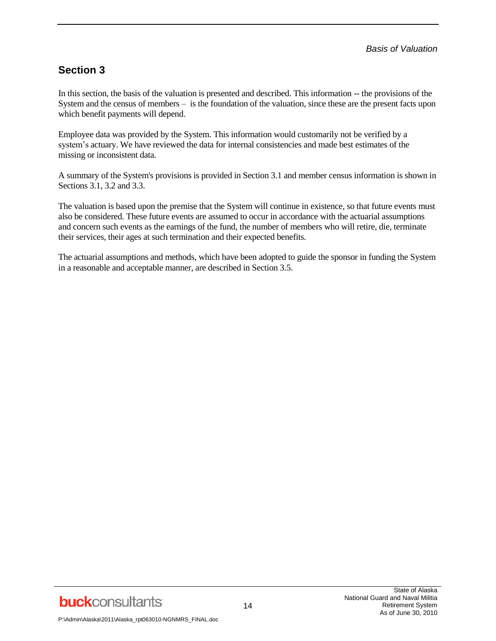# **Section 3**

In this section, the basis of the valuation is presented and described. This information -- the provisions of the System and the census of members – is the foundation of the valuation, since these are the present facts upon which benefit payments will depend.

Employee data was provided by the System. This information would customarily not be verified by a system's actuary. We have reviewed the data for internal consistencies and made best estimates of the missing or inconsistent data.

A summary of the System's provisions is provided in Section 3.1 and member census information is shown in Sections 3.1, 3.2 and 3.3.

The valuation is based upon the premise that the System will continue in existence, so that future events must also be considered. These future events are assumed to occur in accordance with the actuarial assumptions and concern such events as the earnings of the fund, the number of members who will retire, die, terminate their services, their ages at such termination and their expected benefits.

The actuarial assumptions and methods, which have been adopted to guide the sponsor in funding the System in a reasonable and acceptable manner, are described in Section 3.5.

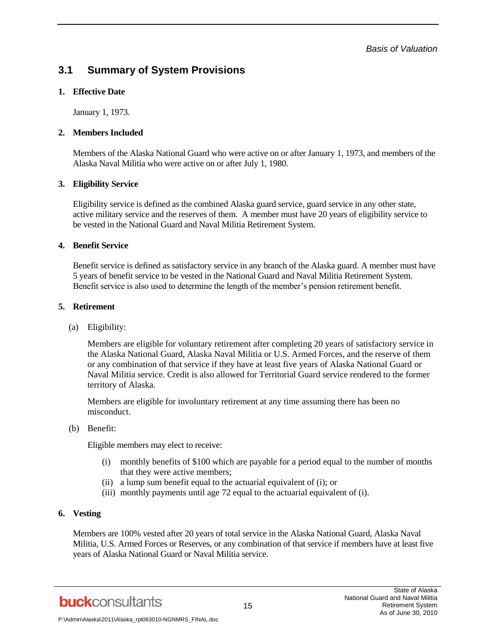*Basis of Valuation*

## **3.1 Summary of System Provisions**

#### **1. Effective Date**

January 1, 1973.

#### **2. Members Included**

Members of the Alaska National Guard who were active on or after January 1, 1973, and members of the Alaska Naval Militia who were active on or after July 1, 1980.

#### **3. Eligibility Service**

Eligibility service is defined as the combined Alaska guard service, guard service in any other state, active military service and the reserves of them. A member must have 20 years of eligibility service to be vested in the National Guard and Naval Militia Retirement System.

#### **4. Benefit Service**

Benefit service is defined as satisfactory service in any branch of the Alaska guard. A member must have 5 years of benefit service to be vested in the National Guard and Naval Militia Retirement System. Benefit service is also used to determine the length of the member's pension retirement benefit.

#### **5. Retirement**

(a) Eligibility:

Members are eligible for voluntary retirement after completing 20 years of satisfactory service in the Alaska National Guard, Alaska Naval Militia or U.S. Armed Forces, and the reserve of them or any combination of that service if they have at least five years of Alaska National Guard or Naval Militia service. Credit is also allowed for Territorial Guard service rendered to the former territory of Alaska.

Members are eligible for involuntary retirement at any time assuming there has been no misconduct.

(b) Benefit:

Eligible members may elect to receive:

- (i) monthly benefits of \$100 which are payable for a period equal to the number of months that they were active members;
- (ii) a lump sum benefit equal to the actuarial equivalent of (i); or
- (iii) monthly payments until age 72 equal to the actuarial equivalent of (i).

#### **6. Vesting**

Members are 100% vested after 20 years of total service in the Alaska National Guard, Alaska Naval Militia, U.S. Armed Forces or Reserves, or any combination of that service if members have at least five years of Alaska National Guard or Naval Militia service.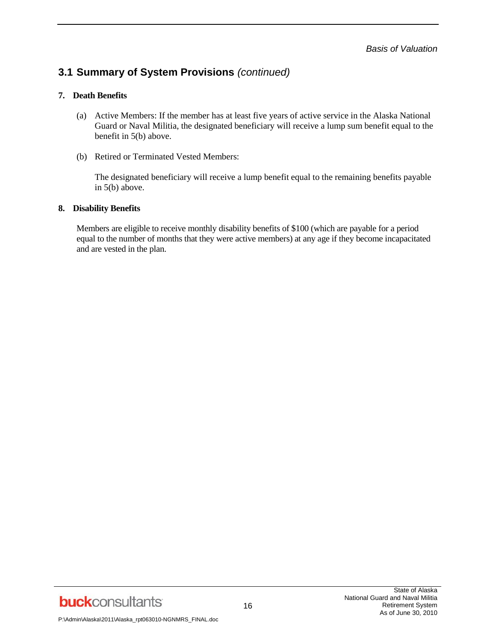# **3.1 Summary of System Provisions** *(continued)*

#### **7. Death Benefits**

- (a) Active Members: If the member has at least five years of active service in the Alaska National Guard or Naval Militia, the designated beneficiary will receive a lump sum benefit equal to the benefit in 5(b) above.
- (b) Retired or Terminated Vested Members:

The designated beneficiary will receive a lump benefit equal to the remaining benefits payable in 5(b) above.

#### **8. Disability Benefits**

Members are eligible to receive monthly disability benefits of \$100 (which are payable for a period equal to the number of months that they were active members) at any age if they become incapacitated and are vested in the plan.

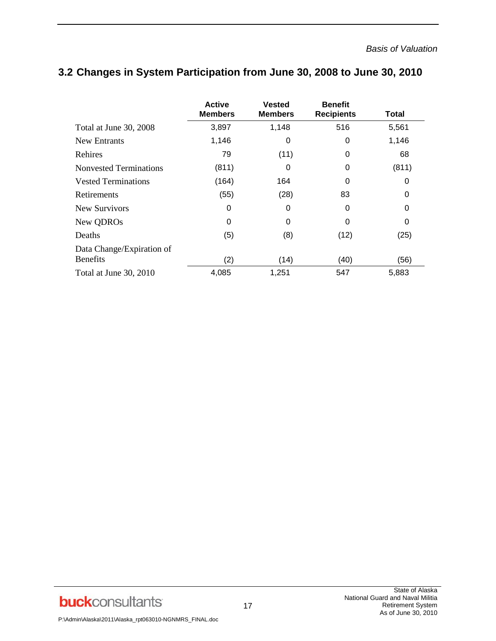|                                              | <b>Active</b><br><b>Members</b> | <b>Vested</b><br><b>Members</b> | <b>Benefit</b><br><b>Recipients</b> | Total |
|----------------------------------------------|---------------------------------|---------------------------------|-------------------------------------|-------|
| Total at June 30, 2008                       | 3,897                           | 1,148                           | 516                                 | 5,561 |
| New Entrants                                 | 1,146                           | 0                               | 0                                   | 1,146 |
| Rehires                                      | 79                              | (11)                            | 0                                   | 68    |
| <b>Nonvested Terminations</b>                | (811)                           | 0                               | 0                                   | (811) |
| <b>Vested Terminations</b>                   | (164)                           | 164                             | 0                                   | 0     |
| Retirements                                  | (55)                            | (28)                            | 83                                  | 0     |
| New Survivors                                | 0                               | 0                               | 0                                   | 0     |
| New QDROs                                    | 0                               | 0                               | 0                                   | 0     |
| Deaths                                       | (5)                             | (8)                             | (12)                                | (25)  |
| Data Change/Expiration of<br><b>Benefits</b> | (2)                             | (14)                            | (40)                                | (56)  |
| Total at June 30, 2010                       | 4,085                           | 1,251                           | 547                                 | 5,883 |

# **3.2 Changes in System Participation from June 30, 2008 to June 30, 2010**

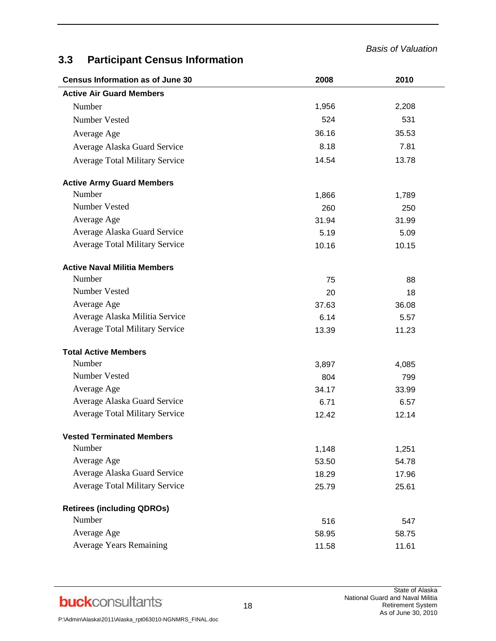*Basis of Valuation*

# **3.3 Participant Census Information**

| <b>Census Information as of June 30</b> | 2008  | 2010  |  |
|-----------------------------------------|-------|-------|--|
| <b>Active Air Guard Members</b>         |       |       |  |
| Number                                  | 1,956 | 2,208 |  |
| Number Vested                           | 524   | 531   |  |
| Average Age                             | 36.16 | 35.53 |  |
| Average Alaska Guard Service            | 8.18  | 7.81  |  |
| <b>Average Total Military Service</b>   | 14.54 | 13.78 |  |
| <b>Active Army Guard Members</b>        |       |       |  |
| Number                                  | 1,866 | 1,789 |  |
| Number Vested                           | 260   | 250   |  |
| Average Age                             | 31.94 | 31.99 |  |
| Average Alaska Guard Service            | 5.19  | 5.09  |  |
| <b>Average Total Military Service</b>   | 10.16 | 10.15 |  |
| <b>Active Naval Militia Members</b>     |       |       |  |
| Number                                  | 75    | 88    |  |
| Number Vested                           | 20    | 18    |  |
| Average Age                             | 37.63 | 36.08 |  |
| Average Alaska Militia Service          | 6.14  | 5.57  |  |
| <b>Average Total Military Service</b>   | 13.39 | 11.23 |  |
| <b>Total Active Members</b>             |       |       |  |
| Number                                  | 3,897 | 4,085 |  |
| Number Vested                           | 804   | 799   |  |
| Average Age                             | 34.17 | 33.99 |  |
| Average Alaska Guard Service            | 6.71  | 6.57  |  |
| <b>Average Total Military Service</b>   | 12.42 | 12.14 |  |
| <b>Vested Terminated Members</b>        |       |       |  |
| Number                                  | 1,148 | 1,251 |  |
| Average Age                             | 53.50 | 54.78 |  |
| Average Alaska Guard Service            | 18.29 | 17.96 |  |
| <b>Average Total Military Service</b>   | 25.79 | 25.61 |  |
| <b>Retirees (including QDROs)</b>       |       |       |  |
| Number                                  | 516   | 547   |  |
| Average Age                             | 58.95 | 58.75 |  |
| <b>Average Years Remaining</b>          | 11.58 | 11.61 |  |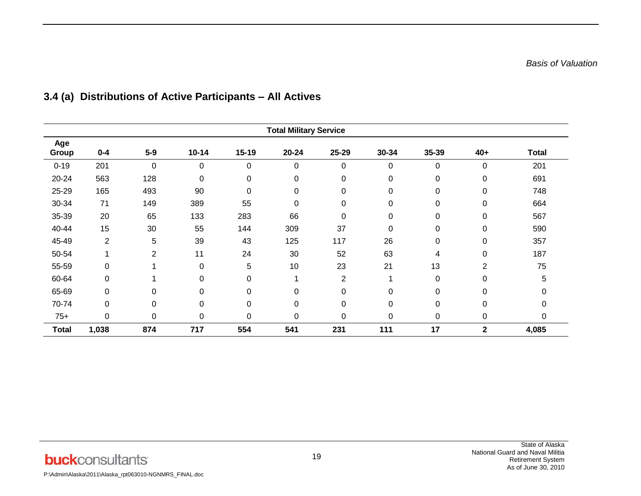| <b>Total Military Service</b> |                |                |             |           |           |             |             |       |                |              |
|-------------------------------|----------------|----------------|-------------|-----------|-----------|-------------|-------------|-------|----------------|--------------|
| Age<br>Group                  | $0 - 4$        | $5-9$          | $10 - 14$   | $15 - 19$ | $20 - 24$ | 25-29       | 30-34       | 35-39 | $40+$          | <b>Total</b> |
| $0 - 19$                      | 201            | 0              | $\pmb{0}$   | $\pmb{0}$ | 0         | $\mathbf 0$ | 0           | 0     | 0              | 201          |
| 20-24                         | 563            | 128            | $\mathbf 0$ | $\pmb{0}$ | 0         | $\mathbf 0$ | 0           | 0     | 0              | 691          |
| 25-29                         | 165            | 493            | 90          | 0         | 0         | $\mathbf 0$ | 0           | 0     | 0              | 748          |
| 30-34                         | 71             | 149            | 389         | 55        | 0         | $\mathbf 0$ | 0           | 0     | 0              | 664          |
| 35-39                         | 20             | 65             | 133         | 283       | 66        | $\mathbf 0$ | $\mathbf 0$ | 0     | 0              | 567          |
| 40-44                         | 15             | 30             | 55          | 144       | 309       | 37          | 0           | 0     | 0              | 590          |
| 45-49                         | $\overline{2}$ | 5              | 39          | 43        | 125       | 117         | 26          | 0     | 0              | 357          |
| 50-54                         | $\mathbf{1}$   | $\overline{2}$ | 11          | 24        | 30        | 52          | 63          | 4     | 0              | 187          |
| 55-59                         | 0              | 1              | $\pmb{0}$   | 5         | 10        | 23          | 21          | 13    | $\overline{2}$ | 75           |
| 60-64                         | 0              |                | 0           | 0         |           | 2           |             | 0     | $\Omega$       | 5            |
| 65-69                         | 0              | $\Omega$       | 0           | 0         | 0         | 0           | 0           | 0     | 0              |              |
| 70-74                         | 0              | 0              | $\pmb{0}$   | 0         | 0         | 0           | $\mathbf 0$ | 0     | 0              | 0            |
| $75+$                         | 0              | 0              | $\mathbf 0$ | 0         | 0         | $\mathbf 0$ | 0           | 0     | 0              | 0            |
| <b>Total</b>                  | 1,038          | 874            | 717         | 554       | 541       | 231         | 111         | 17    | $\mathbf{2}$   | 4,085        |

# **3.4 (a) Distributions of Active Participants – All Actives**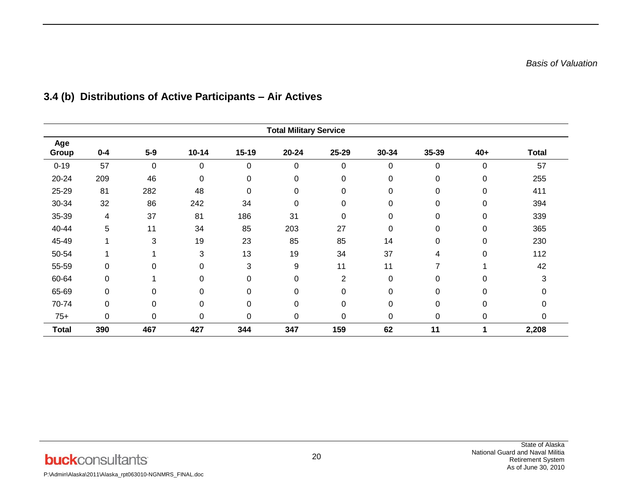| <b>Total Military Service</b> |         |             |             |             |           |                |          |       |             |              |
|-------------------------------|---------|-------------|-------------|-------------|-----------|----------------|----------|-------|-------------|--------------|
| Age<br>Group                  | $0 - 4$ | $5-9$       | $10 - 14$   | $15 - 19$   | $20 - 24$ | 25-29          | 30-34    | 35-39 | $40+$       | <b>Total</b> |
| $0 - 19$                      | 57      | $\mathbf 0$ | 0           | 0           | 0         | 0              | 0        | 0     | $\mathbf 0$ | 57           |
| 20-24                         | 209     | 46          | $\mathbf 0$ | 0           | 0         | 0              | 0        | 0     | 0           | 255          |
| 25-29                         | 81      | 282         | 48          | $\mathbf 0$ | 0         | 0              | 0        | 0     | 0           | 411          |
| 30-34                         | 32      | 86          | 242         | 34          | 0         | 0              | 0        | 0     | 0           | 394          |
| 35-39                         | 4       | 37          | 81          | 186         | 31        | 0              | $\Omega$ | 0     | $\mathbf 0$ | 339          |
| 40-44                         | 5       | 11          | 34          | 85          | 203       | 27             | 0        | 0     | $\mathbf 0$ | 365          |
| 45-49                         |         | 3           | 19          | 23          | 85        | 85             | 14       | 0     | 0           | 230          |
| 50-54                         |         |             | 3           | 13          | 19        | 34             | 37       | 4     | 0           | 112          |
| 55-59                         | 0       | $\Omega$    | $\mathbf 0$ | 3           | 9         | 11             | 11       | 7     | -4          | 42           |
| 60-64                         | 0       |             | 0           | $\Omega$    | 0         | $\overline{2}$ | $\Omega$ | 0     | $\Omega$    | 3            |
| 65-69                         | 0       | 0           | 0           | $\mathbf 0$ | 0         | 0              | $\Omega$ | 0     | $\Omega$    |              |
| 70-74                         | 0       | 0           | 0           | 0           | 0         | 0              | 0        | 0     | $\mathbf 0$ | 0            |
| $75+$                         | 0       | 0           | 0           | $\mathbf 0$ | 0         | 0              | 0        | 0     | $\mathbf 0$ | 0            |
| <b>Total</b>                  | 390     | 467         | 427         | 344         | 347       | 159            | 62       | 11    |             | 2,208        |

# **3.4 (b) Distributions of Active Participants – Air Actives**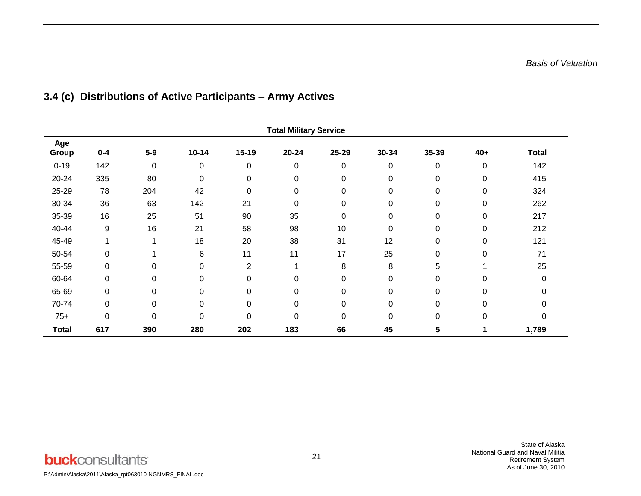| <b>Total Military Service</b> |         |             |             |                |           |          |       |       |             |              |
|-------------------------------|---------|-------------|-------------|----------------|-----------|----------|-------|-------|-------------|--------------|
| Age<br>Group                  | $0 - 4$ | $5-9$       | $10 - 14$   | $15 - 19$      | $20 - 24$ | 25-29    | 30-34 | 35-39 | $40+$       | <b>Total</b> |
| $0 - 19$                      | 142     | $\mathbf 0$ | 0           | 0              | 0         | 0        | 0     | 0     | $\mathbf 0$ | 142          |
| 20-24                         | 335     | 80          | $\mathbf 0$ | 0              | 0         | 0        | 0     | 0     | $\mathbf 0$ | 415          |
| 25-29                         | 78      | 204         | 42          | 0              | 0         | 0        | 0     | 0     | 0           | 324          |
| 30-34                         | 36      | 63          | 142         | 21             | 0         | 0        | 0     | 0     | $\mathbf 0$ | 262          |
| 35-39                         | 16      | 25          | 51          | 90             | 35        | 0        | 0     | 0     | 0           | 217          |
| 40-44                         | 9       | 16          | 21          | 58             | 98        | 10       | 0     | 0     | $\mathbf 0$ | 212          |
| 45-49                         | 1       | 1           | 18          | 20             | 38        | 31       | 12    | 0     | 0           | 121          |
| 50-54                         | 0       |             | 6           | 11             | 11        | 17       | 25    | 0     | $\mathbf 0$ | 71           |
| 55-59                         | 0       | 0           | 0           | $\overline{2}$ |           | 8        | 8     | 5     |             | 25           |
| 60-64                         | 0       | 0           | 0           | 0              | 0         | 0        | 0     | 0     | 0           | ი            |
| 65-69                         | 0       | $\Omega$    | 0           | $\mathbf 0$    | 0         | $\Omega$ | 0     | 0     | 0           |              |
| 70-74                         | 0       | 0           | $\mathbf 0$ | $\mathbf 0$    | 0         | 0        | 0     | 0     | 0           |              |
| $75+$                         | 0       | 0           | $\mathbf 0$ | $\mathbf 0$    | 0         | 0        | 0     | 0     | 0           | 0            |
| <b>Total</b>                  | 617     | 390         | 280         | 202            | 183       | 66       | 45    | 5     |             | 1,789        |

# **3.4 (c) Distributions of Active Participants – Army Actives**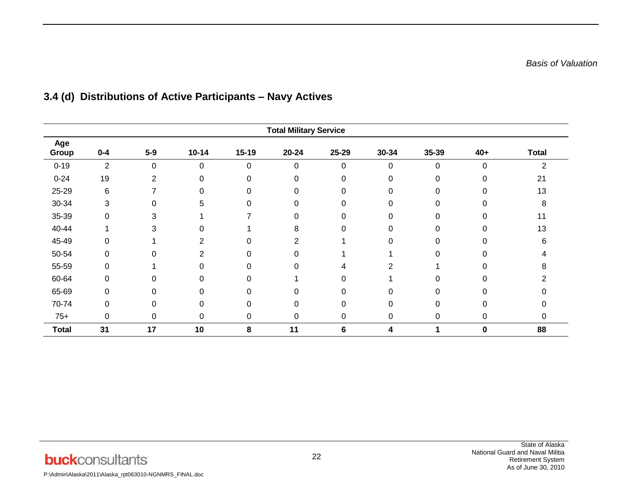| <b>Total Military Service</b> |                |          |             |             |           |           |          |       |          |              |
|-------------------------------|----------------|----------|-------------|-------------|-----------|-----------|----------|-------|----------|--------------|
| Age<br>Group                  | $0 - 4$        | $5-9$    | $10 - 14$   | $15 - 19$   | $20 - 24$ | 25-29     | 30-34    | 35-39 | $40+$    | <b>Total</b> |
| $0 - 19$                      | $\overline{2}$ | 0        | $\mathbf 0$ | $\mathbf 0$ | 0         | $\pmb{0}$ | 0        | 0     | 0        | 2            |
| $0 - 24$                      | 19             | 2        | $\Omega$    | $\Omega$    | 0         | 0         | 0        | 0     | $\Omega$ | 21           |
| 25-29                         | 6              |          | $\Omega$    | 0           | 0         | 0         | 0        | 0     | $\Omega$ | 13           |
| 30-34                         | 3              | 0        | 5           | $\Omega$    | 0         | $\Omega$  | 0        | ი     | $\Omega$ | 8            |
| 35-39                         | $\Omega$       | 3        |             |             | 0         | 0         | $\Omega$ |       | $\Omega$ | 11           |
| 40-44                         |                | 3        | 0           |             | 8         | 0         | 0        |       | $\Omega$ | 13           |
| 45-49                         | 0              |          | 2           | 0           | 2         |           | 0        |       | 0        | 6            |
| 50-54                         | 0              | $\Omega$ | 2           | 0           | 0         |           |          | 0     | $\Omega$ |              |
| 55-59                         | 0              |          | 0           | $\Omega$    | 0         | 4         | 2        |       | $\Omega$ | 8            |
| 60-64                         | 0              | 0        | $\Omega$    | $\Omega$    |           | 0         |          | ⋂     | $\Omega$ |              |
| 65-69                         | 0              | O        | 0           | $\Omega$    | 0         | $\Omega$  | $\Omega$ |       | 0        |              |
| 70-74                         | 0              | $\Omega$ | $\Omega$    | $\Omega$    | 0         | 0         | $\Omega$ | 0     | 0        |              |
| $75+$                         | 0              | 0        | 0           | 0           | 0         | 0         | 0        | 0     | 0        | 0            |
| <b>Total</b>                  | 31             | 17       | 10          | 8           | 11        | 6         | 4        | 1     | $\bf{0}$ | 88           |

# **3.4 (d) Distributions of Active Participants – Navy Actives**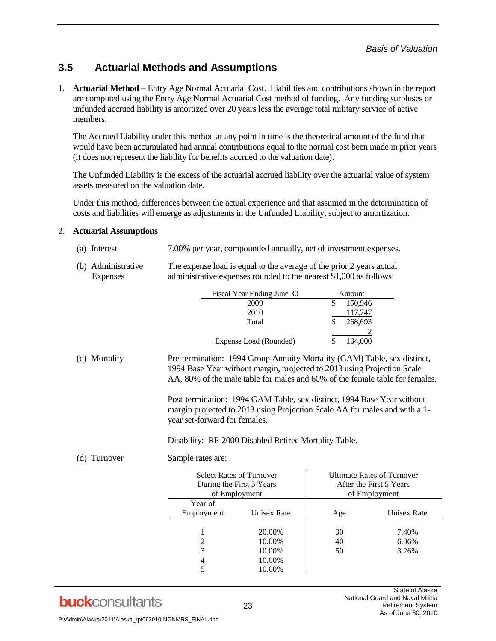### **3.5 Actuarial Methods and Assumptions**

1. **Actuarial Method –** Entry Age Normal Actuarial Cost. Liabilities and contributions shown in the report are computed using the Entry Age Normal Actuarial Cost method of funding. Any funding surpluses or unfunded accrued liability is amortized over 20 years less the average total military service of active members.

The Accrued Liability under this method at any point in time is the theoretical amount of the fund that would have been accumulated had annual contributions equal to the normal cost been made in prior years (it does not represent the liability for benefits accrued to the valuation date).

The Unfunded Liability is the excess of the actuarial accrued liability over the actuarial value of system assets measured on the valuation date.

Under this method, differences between the actual experience and that assumed in the determination of costs and liabilities will emerge as adjustments in the Unfunded Liability, subject to amortization.

#### 2. **Actuarial Assumptions**

- (a) Interest 7.00% per year, compounded annually, net of investment expenses.
- (b) Administrative The expense load is equal to the average of the prior 2 years actual Expenses administrative expenses rounded to the nearest \$1,000 as follows:

| Fiscal Year Ending June 30 | Amount  |
|----------------------------|---------|
| 2009                       | 150,946 |
| 2010                       | 117,747 |
| Total                      | 268,693 |
|                            |         |
| Expense Load (Rounded)     | 134,000 |

(c) Mortality Pre-termination: 1994 Group Annuity Mortality (GAM) Table, sex distinct, 1994 Base Year without margin, projected to 2013 using Projection Scale AA, 80% of the male table for males and 60% of the female table for females.

> Post-termination: 1994 GAM Table, sex-distinct, 1994 Base Year without margin projected to 2013 using Projection Scale AA for males and with a 1 year set-forward for females.

Disability: RP-2000 Disabled Retiree Mortality Table.

(d) Turnover Sample rates are:

|            | <b>Select Rates of Turnover</b><br>During the First 5 Years<br>of Employment |     | <b>Ultimate Rates of Turnover</b><br>After the First 5 Years<br>of Employment |
|------------|------------------------------------------------------------------------------|-----|-------------------------------------------------------------------------------|
| Year of    |                                                                              |     |                                                                               |
| Employment | Unisex Rate                                                                  | Age | <b>Unisex Rate</b>                                                            |
|            |                                                                              |     |                                                                               |
|            | 20.00%                                                                       | 30  | 7.40%                                                                         |
| 2          | 10.00%                                                                       | 40  | 6.06%                                                                         |
| 3          | 10.00%                                                                       | 50  | 3.26%                                                                         |
| 4          | 10.00%                                                                       |     |                                                                               |
| 5          | 10.00%                                                                       |     |                                                                               |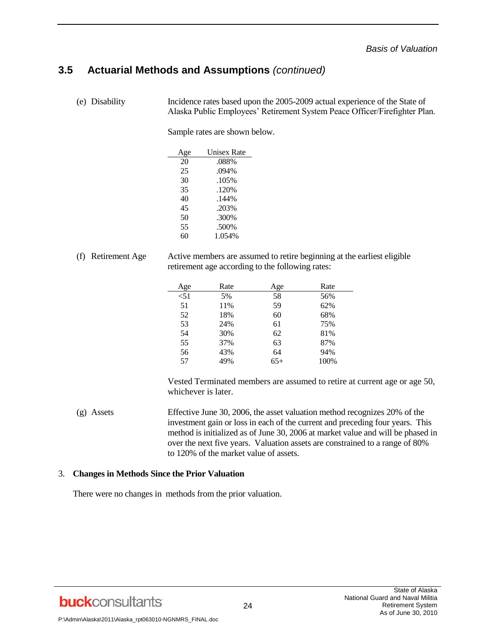### **3.5 Actuarial Methods and Assumptions** *(continued)*

(e) Disability Incidence rates based upon the 2005-2009 actual experience of the State of Alaska Public Employees' Retirement System Peace Officer/Firefighter Plan.

Sample rates are shown below.

| Age | <b>Unisex Rate</b> |
|-----|--------------------|
| 20  | .088%              |
| 25  | .094%              |
| 30  | .105%              |
| 35  | .120%              |
| 40  | $.144\%$           |
| 45  | .203%              |
| 50  | .300%              |
| 55  | .500%              |
| 60  | 1.054%             |

(f) Retirement Age Active members are assumed to retire beginning at the earliest eligible retirement age according to the following rates:

| Age  | Rate | Age   | Rate |
|------|------|-------|------|
| < 51 | 5%   | 58    | 56%  |
| 51   | 11%  | 59    | 62%  |
| 52   | 18%  | 60    | 68%  |
| 53   | 24%  | 61    | 75%  |
| 54   | 30%  | 62    | 81%  |
| 55   | 37%  | 63    | 87%  |
| 56   | 43%  | 64    | 94%  |
| 57   | 49%  | $65+$ | 100% |

Vested Terminated members are assumed to retire at current age or age 50, whichever is later.

(g) Assets Effective June 30, 2006, the asset valuation method recognizes 20% of the investment gain or loss in each of the current and preceding four years. This method is initialized as of June 30, 2006 at market value and will be phased in over the next five years. Valuation assets are constrained to a range of 80% to 120% of the market value of assets.

#### 3. **Changes in Methods Since the Prior Valuation**

There were no changes in methods from the prior valuation.